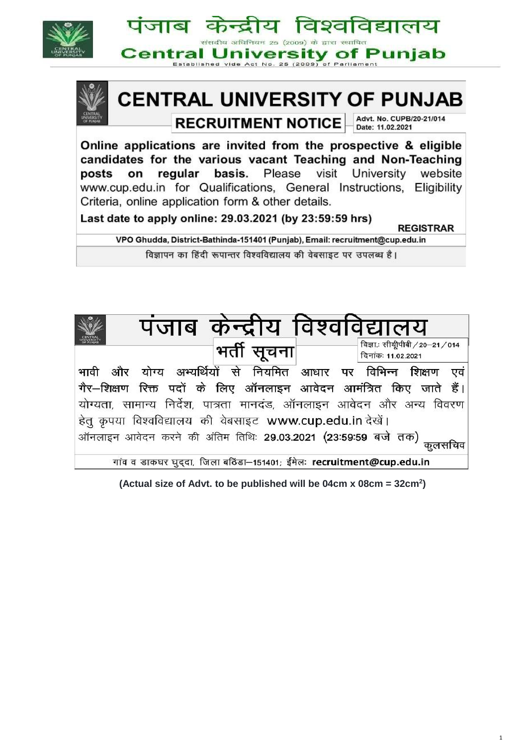

गांव व डाकघर घुददा, जिला बठिंडा-151401; ईमेलः recruitment@cup.edu.in

**(Actual size of Advt. to be published will be 04cm x 08cm = 32cm<sup>2</sup> )**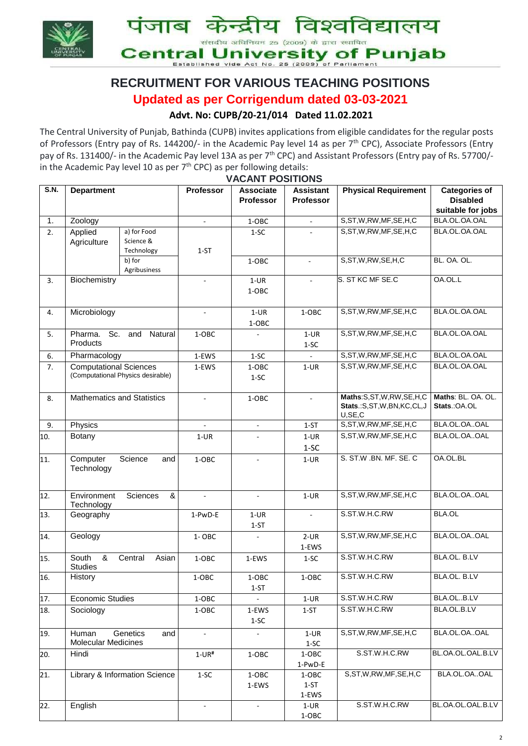

# **RECRUITMENT FOR VARIOUS TEACHING POSITIONS**

## **Updated as per Corrigendum dated 03-03-2021**

## **Advt. No: CUPB/20-21/014 Dated 11.02.2021**

The Central University of Punjab, Bathinda (CUPB) invites applications from eligible candidates for the regular posts of Professors (Entry pay of Rs. 144200/- in the Academic Pay level 14 as per 7<sup>th</sup> CPC), Associate Professors (Entry pay of Rs. 131400/- in the Academic Pay level 13A as per 7<sup>th</sup> CPC) and Assistant Professors (Entry pay of Rs. 57700/in the Academic Pay level 10 as per  $7<sup>th</sup>$  CPC) as per following details: **VACANT POSITIONS**

|             |                                               |                                   |                          | , AUAN I I UUITIUNU                  |                                      |                                                                |                                                              |  |
|-------------|-----------------------------------------------|-----------------------------------|--------------------------|--------------------------------------|--------------------------------------|----------------------------------------------------------------|--------------------------------------------------------------|--|
| <b>S.N.</b> | <b>Department</b>                             |                                   | Professor                | <b>Associate</b><br><b>Professor</b> | <b>Assistant</b><br><b>Professor</b> | <b>Physical Requirement</b>                                    | <b>Categories of</b><br><b>Disabled</b><br>suitable for jobs |  |
| 1.          | Zoology                                       |                                   |                          | 1-OBC                                |                                      | S,ST,W,RW,MF,SE,H,C                                            | BLA.OL.OA.OAL                                                |  |
| 2.          | Applied<br>a) for Food                        |                                   |                          | $1-SC$                               |                                      | S, ST, W, RW, MF, SE, H, C                                     | BLA.OL.OA.OAL                                                |  |
|             | Agriculture                                   | Science &<br>Technology           | $1 - ST$                 |                                      |                                      |                                                                |                                                              |  |
|             |                                               | b) for<br>Agribusiness            |                          | 1-OBC                                | $\blacksquare$                       | S, ST, W, RW, SE, H, C                                         | BL. OA. OL.                                                  |  |
| 3.          | Biochemistry                                  |                                   |                          | $1-UR$<br>1-OBC                      |                                      | S. ST KC MF SE.C                                               | OA.OL.L                                                      |  |
| 4.          | Microbiology                                  |                                   |                          | $1-UR$<br>1-OBC                      | 1-OBC                                | S, ST, W, RW, MF, SE, H, C                                     | BLA.OL.OA.OAL                                                |  |
| 5.          | Sc.<br>Pharma.<br>Products                    | and<br>Natural                    | 1-OBC                    |                                      | $1-UR$<br>$1-SC$                     | S, ST, W, RW, MF, SE, H, C                                     | BLA.OL.OA.OAL                                                |  |
| 6.          | Pharmacology                                  |                                   | 1-EWS                    | $1-SC$                               |                                      | S, ST, W, RW, MF, SE, H, C                                     | BLA.OL.OA.OAL                                                |  |
| 7.          | <b>Computational Sciences</b>                 | (Computational Physics desirable) | 1-EWS                    | 1-OBC<br>$1-SC$                      | $1-UR$                               | S, ST, W, RW, MF, SE, H, C                                     | BLA.OL.OA.OAL                                                |  |
| 8.          | <b>Mathematics and Statistics</b>             |                                   |                          | 1-OBC                                |                                      | Maths:S,ST,W,RW,SE,H,C<br>Stats.:S,ST,W,BN,KC,CL,J<br>U, SE, C | Maths: BL. OA. OL.<br>Stats.: OA.OL                          |  |
| 9.          | Physics                                       |                                   | $\overline{\phantom{a}}$ | $\overline{\phantom{a}}$             | $1 - ST$                             | S, ST, W, RW, MF, SE, H, C                                     | BLA.OL.OAOAL                                                 |  |
| 10.         | Botany                                        |                                   | $1-UR$                   |                                      | $1-UR$<br>$1-SC$                     | S, ST, W, RW, MF, SE, H, C                                     | BLA.OL.OAOAL                                                 |  |
| 11.         | Computer<br>Technology                        | Science<br>and                    | 1-OBC                    | $\sim$                               | $1-UR$                               | S. ST.W .BN. MF. SE. C                                         | OA.OL.BL                                                     |  |
| 12.         | Environment<br>Sciences<br>$\&$<br>Technology |                                   | $\bar{a}$                | $\blacksquare$                       | $1-UR$                               | S, ST, W, RW, MF, SE, H, C                                     | BLA.OL.OAOAL                                                 |  |
| 13.         | Geography                                     |                                   | 1-PwD-E                  | $1-UR$<br>$1 - ST$                   |                                      | S.ST.W.H.C.RW                                                  | <b>BLA.OL</b>                                                |  |
| 14.         | Geology                                       |                                   | 1-OBC                    |                                      | $2$ -UR                              | S, ST, W, RW, MF, SE, H, C                                     | BLA.OL.OAOAL                                                 |  |
|             |                                               |                                   |                          |                                      | 1-EWS                                |                                                                |                                                              |  |
| 15.         | &<br>South<br><b>Studies</b>                  | Central<br>Asian                  | 1-OBC                    | 1-EWS                                | $1-SC$                               | S.ST.W.H.C.RW                                                  | BLA.OL. B.LV                                                 |  |
| 16.         | History                                       |                                   |                          | $1-OBC$<br>$1-ST$                    | $1-OBC$                              | S.ST.W.H.C.RW                                                  | BLA.OL. B.LV                                                 |  |
| 17.         | <b>Economic Studies</b>                       |                                   | 1-OBC                    | $\omega$                             | $1-UR$                               | S.ST.W.H.C.RW                                                  | BLA.OLB.LV                                                   |  |
| 18.         | Sociology                                     |                                   | 1-OBC                    | 1-EWS<br>$1-SC$                      | $1-ST$                               | S.ST.W.H.C.RW                                                  | BLA.OL.B.LV                                                  |  |
| 19.         | Human<br><b>Molecular Medicines</b>           | Genetics<br>and                   | $\overline{\phantom{a}}$ | $\overline{\phantom{a}}$             | $1-UR$<br>$1-SC$                     | S, ST, W, RW, MF, SE, H, C                                     | BLA.OL.OAOAL                                                 |  |
| 20.         | Hindi                                         |                                   | $1$ -UR#                 | 1-OBC                                | 1-OBC<br>1-PwD-E                     | S.ST.W.H.C.RW                                                  | BL.OA.OL.OAL.B.LV                                            |  |
| 21.         | Library & Information Science                 |                                   | $1-SC$                   | 1-OBC<br>1-EWS                       | 1-OBC<br>$1 - ST$<br>1-EWS           | S, ST, W, RW, MF, SE, H, C                                     | BLA.OL.OAOAL                                                 |  |
| 22.         | English                                       |                                   |                          |                                      | $1-UR$<br>$1-OBC$                    | S.ST.W.H.C.RW                                                  | BL.OA.OL.OAL.B.LV                                            |  |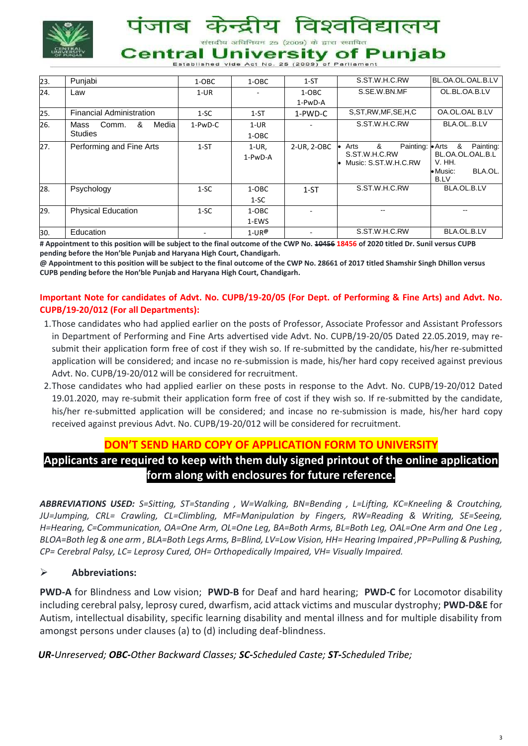

संसदीय अधिनियम 25 (2009) के द्वारा स्थापित

# **Central University of Punjab**

Established vide Act No. 25 (2009) of Parliamen

| 23. | Punjabi                         | 1-OBC    | 1-OBC                  | $1 - ST$    | S.ST.W.H.C.RW                         | BL.OA.OL.OAL.B.LV          |  |
|-----|---------------------------------|----------|------------------------|-------------|---------------------------------------|----------------------------|--|
| 24. | Law                             | $1-UR$   |                        | 1-OBC       | S.SE.W.BN.MF                          | OL.BL.OA.B.LV              |  |
|     |                                 |          |                        | 1-PwD-A     |                                       |                            |  |
| 25. | <b>Financial Administration</b> | $1-SC$   | $1 - ST$               | 1-PWD-C     | S.ST.RW.MF.SE.H.C                     | OA.OL.OAL B.LV             |  |
| 26. | &<br>Media<br>Comm.<br>Mass     | 1-PwD-C  | $1-UR$                 |             | S.ST.W.H.C.RW                         | BLA.OLB.LV                 |  |
|     | <b>Studies</b>                  |          | 1-OBC                  |             |                                       |                            |  |
| 27. | Performing and Fine Arts        | $1 - ST$ | $1-UR$ .               | 2-UR, 2-OBC | &<br>Painting: Arts<br>Arts           | &<br>Painting:             |  |
|     |                                 |          | 1-PwD-A                |             | S.ST.W.H.C.RW<br>Music: S.ST.W.H.C.RW | BL.OA.OL.OAL.B.L<br>V. HH. |  |
|     |                                 |          |                        |             |                                       | • Music:<br>BLA.OL.        |  |
|     |                                 |          |                        |             |                                       | <b>B.LV</b>                |  |
| 28. | Psychology<br>$1-SC$            |          | $1-OBC$                | $1-ST$      | S.ST.W.H.C.RW                         | BLA.OL.B.LV                |  |
|     |                                 |          | $1-SC$                 |             |                                       |                            |  |
| 29. | <b>Physical Education</b>       | $1-SC$   | 1-OBC                  |             |                                       | --                         |  |
|     |                                 |          | 1-EWS                  |             |                                       |                            |  |
| 30. | Education                       |          | $1$ -UR $^{\circledR}$ |             | S.ST.W.H.C.RW                         | BLA.OL.B.LV                |  |

**# Appointment to this position will be subject to the final outcome of the CWP No. 10456 18456 of 2020 titled Dr. Sunil versus CUPB pending before the Hon'ble Punjab and Haryana High Court, Chandigarh.**

**@ Appointment to this position will be subject to the final outcome of the CWP No. 28661 of 2017 titled Shamshir Singh Dhillon versus CUPB pending before the Hon'ble Punjab and Haryana High Court, Chandigarh.**

#### **Important Note for candidates of Advt. No. CUPB/19-20/05 (For Dept. of Performing & Fine Arts) and Advt. No. CUPB/19-20/012 (For all Departments):**

- 1.Those candidates who had applied earlier on the posts of Professor, Associate Professor and Assistant Professors in Department of Performing and Fine Arts advertised vide Advt. No. CUPB/19-20/05 Dated 22.05.2019, may resubmit their application form free of cost if they wish so. If re-submitted by the candidate, his/her re-submitted application will be considered; and incase no re-submission is made, his/her hard copy received against previous Advt. No. CUPB/19-20/012 will be considered for recruitment.
- 2.Those candidates who had applied earlier on these posts in response to the Advt. No. CUPB/19-20/012 Dated 19.01.2020, may re-submit their application form free of cost if they wish so. If re-submitted by the candidate, his/her re-submitted application will be considered; and incase no re-submission is made, his/her hard copy received against previous Advt. No. CUPB/19-20/012 will be considered for recruitment.

## **DON'T SEND HARD COPY OF APPLICATION FORM TO UNIVERSITY**

# **Applicants are required to keep with them duly signed printout of the online application form along with enclosures for future reference.**

*ABBREVIATIONS USED: S=Sitting, ST=Standing , W=Walking, BN=Bending , L=Lifting, KC=Kneeling & Croutching, JU=Jumping, CRL= Crawling, CL=Climbling, MF=Manipulation by Fingers, RW=Reading & Writing, SE=Seeing, H=Hearing, C=Communication, OA=One Arm, OL=One Leg, BA=Both Arms, BL=Both Leg, OAL=One Arm and One Leg , BLOA=Both leg & one arm , BLA=Both Legs Arms, B=Blind, LV=Low Vision, HH= Hearing Impaired ,PP=Pulling & Pushing, CP= Cerebral Palsy, LC= Leprosy Cured, OH= Orthopedically Impaired, VH= Visually Impaired.*

#### **Abbreviations:**

**PWD-A** for Blindness and Low vision; **PWD-B** for Deaf and hard hearing; **PWD-C** for Locomotor disability including cerebral palsy, leprosy cured, dwarfism, acid attack victims and muscular dystrophy; **PWD-D&E** for Autism, intellectual disability, specific learning disability and mental illness and for multiple disability from amongst persons under clauses (a) to (d) including deaf-blindness.

*UR-Unreserved; OBC-Other Backward Classes; SC-Scheduled Caste; ST-Scheduled Tribe;*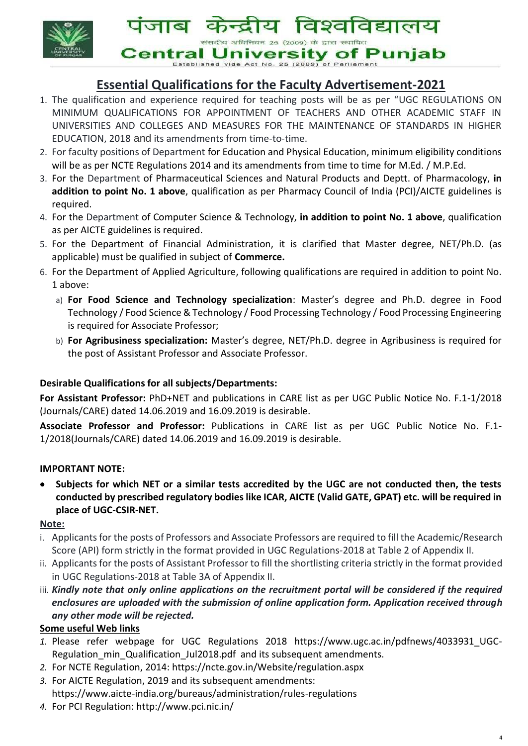

विश्वविद्यालय पजाब कन्दाय संसदीय अधिनियम 25 (2009) के द्वारा स्थापित **Central University of Punjab** 

Established vide Act No. 25 (2009) of Parliamen

# **Essential Qualifications for the Faculty Advertisement-2021**

- 1. The qualification and experience required for teaching posts will be as per "[UGC REGULATIONS ON](https://www.ugc.ac.in/pdfnews/4033931_UGC-Regulation_min_Qualification_Jul2018.pdf)  [MINIMUM QUALIFICATIONS FOR APPOINTMENT OF TEACHERS AND OTHER ACADEMIC STAFF IN](https://www.ugc.ac.in/pdfnews/4033931_UGC-Regulation_min_Qualification_Jul2018.pdf)  [UNIVERSITIES AND COLLEGES AND MEASURES FOR THE MAINTENANCE OF STANDARDS IN HIGHER](https://www.ugc.ac.in/pdfnews/4033931_UGC-Regulation_min_Qualification_Jul2018.pdf)  [EDUCATION, 2018](https://www.ugc.ac.in/pdfnews/4033931_UGC-Regulation_min_Qualification_Jul2018.pdf) and its amendments from time-to-time.
- 2. For faculty positions of Department for Education and Physical Education, minimum eligibility conditions will be as per NCTE Regulations 2014 and its amendments from time to time for M.Ed. / M.P.Ed.
- 3. For the Department of Pharmaceutical Sciences and Natural Products and Deptt. of Pharmacology, **in addition to point No. 1 above**, qualification as per Pharmacy Council of India (PCI)/AICTE guidelines is required.
- 4. For the Department of Computer Science & Technology, **in addition to point No. 1 above**, qualification as per AICTE guidelines is required.
- 5. For the Department of Financial Administration, it is clarified that Master degree, NET/Ph.D. (as applicable) must be qualified in subject of **Commerce.**
- 6. For the Department of Applied Agriculture, following qualifications are required in addition to point No. 1 above:
	- a) **For Food Science and Technology specialization**: Master's degree and Ph.D. degree in Food Technology / Food Science & Technology / Food Processing Technology / Food Processing Engineering is required for Associate Professor;
	- b) **For Agribusiness specialization:** Master's degree, NET/Ph.D. degree in Agribusiness is required for the post of Assistant Professor and Associate Professor.

## **Desirable Qualifications for all subjects/Departments:**

**For Assistant Professor:** PhD+NET and publications in CARE list as per UGC Public Notice No. F.1-1/2018 (Journals/CARE) dated 14.06.2019 and 16.09.2019 is desirable.

**Associate Professor and Professor:** Publications in CARE list as per UGC Public Notice No. F.1- 1/2018(Journals/CARE) dated 14.06.2019 and 16.09.2019 is desirable.

## **IMPORTANT NOTE:**

 **Subjects for which NET or a similar tests accredited by the UGC are not conducted then, the tests conducted by prescribed regulatory bodies like ICAR, AICTE (Valid GATE, GPAT) etc. will be required in place of UGC-CSIR-NET.** 

#### **Note:**

- i. Applicants for the posts of Professors and Associate Professors are required to fill the Academic/Research Score (API) form strictly in the format provided in UGC Regulations-2018 at Table 2 of Appendix II.
- ii. Applicants for the posts of Assistant Professor to fill the shortlisting criteria strictly in the format provided in UGC Regulations-2018 at Table 3A of Appendix II.
- iii. Kindly note that only online applications on the recruitment portal will be considered if the required *enclosures are uploaded with the submission of online application form. Application received through any other mode will be rejected.*

## **Some useful Web links**

- *1.* Please refer webpage for UGC Regulations 2018 https://www.ugc.ac.in/pdfnews/4033931\_UGC-Regulation min Qualification Jul2018.pdf and its subsequent amendments.
- *2.* For NCTE Regulation, 2014: https://ncte.gov.in/Website/regulation.aspx
- *3.* For AICTE Regulation, 2019 and its subsequent amendments: https://www.aicte-india.org/bureaus/administration/rules-regulations
- *4.* For PCI Regulation: http://www.pci.nic.in/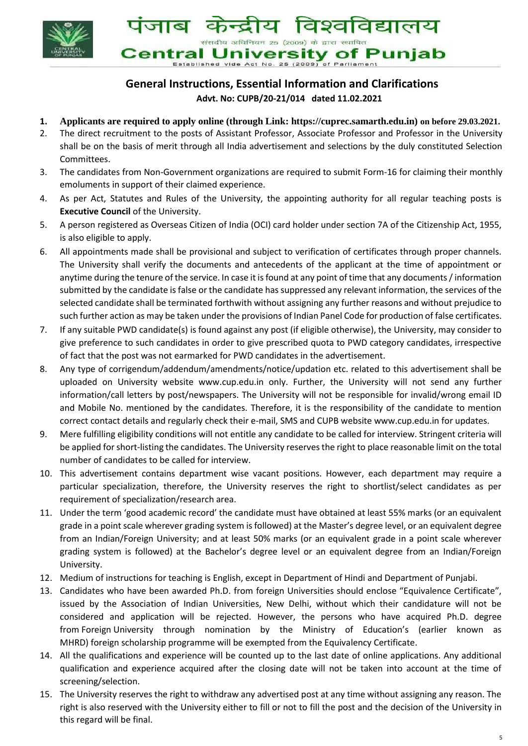



# **General Instructions, Essential Information and Clarifications Advt. No: CUPB/20-21/014 dated 11.02.2021**

- **1. Applicants are required to apply online (through Link: https://cuprec.samarth.edu.in) on before 29.03.2021.**
- 2. The direct recruitment to the posts of Assistant Professor, Associate Professor and Professor in the University shall be on the basis of merit through all India advertisement and selections by the duly constituted Selection Committees.
- 3. The candidates from Non-Government organizations are required to submit Form-16 for claiming their monthly emoluments in support of their claimed experience.
- 4. As per Act, Statutes and Rules of the University, the appointing authority for all regular teaching posts is **Executive Council** of the University.
- 5. A person registered as Overseas Citizen of India (OCI) card holder under section 7A of the Citizenship Act, 1955, is also eligible to apply.
- 6. All appointments made shall be provisional and subject to verification of certificates through proper channels. The University shall verify the documents and antecedents of the applicant at the time of appointment or anytime during the tenure of the service. In case it is found at any point of time that any documents / information submitted by the candidate is false or the candidate has suppressed any relevant information, the services of the selected candidate shall be terminated forthwith without assigning any further reasons and without prejudice to such further action as may be taken under the provisions of Indian Panel Code for production of false certificates.
- 7. If any suitable PWD candidate(s) is found against any post (if eligible otherwise), the University, may consider to give preference to such candidates in order to give prescribed quota to PWD category candidates, irrespective of fact that the post was not earmarked for PWD candidates in the advertisement.
- 8. Any type of corrigendum/addendum/amendments/notice/updation etc. related to this advertisement shall be uploaded on University website www.cup.edu.in only. Further, the University will not send any further information/call letters by post/newspapers. The University will not be responsible for invalid/wrong email ID and Mobile No. mentioned by the candidates. Therefore, it is the responsibility of the candidate to mention correct contact details and regularly check their e-mail, SMS and CUPB website www.cup.edu.in for updates.
- 9. Mere fulfilling eligibility conditions will not entitle any candidate to be called for interview. Stringent criteria will be applied for short-listing the candidates. The University reserves the right to place reasonable limit on the total number of candidates to be called for interview.
- 10. This advertisement contains department wise vacant positions. However, each department may require a particular specialization, therefore, the University reserves the right to shortlist/select candidates as per requirement of specialization/research area.
- 11. Under the term 'good academic record' the candidate must have obtained at least 55% marks (or an equivalent grade in a point scale wherever grading system is followed) at the Master's degree level, or an equivalent degree from an Indian/Foreign University; and at least 50% marks (or an equivalent grade in a point scale wherever grading system is followed) at the Bachelor's degree level or an equivalent degree from an Indian/Foreign University.
- 12. Medium of instructions for teaching is English, except in Department of Hindi and Department of Punjabi.
- 13. Candidates who have been awarded Ph.D. from foreign Universities should enclose "Equivalence Certificate", issued by the Association of Indian Universities, New Delhi, without which their candidature will not be considered and application will be rejected. However, the persons who have acquired Ph.D. degree from Foreign University through nomination by the Ministry of Education's (earlier known as MHRD) foreign scholarship programme will be exempted from the Equivalency Certificate.
- 14. All the qualifications and experience will be counted up to the last date of online applications. Any additional qualification and experience acquired after the closing date will not be taken into account at the time of screening/selection.
- 15. The University reserves the right to withdraw any advertised post at any time without assigning any reason. The right is also reserved with the University either to fill or not to fill the post and the decision of the University in this regard will be final.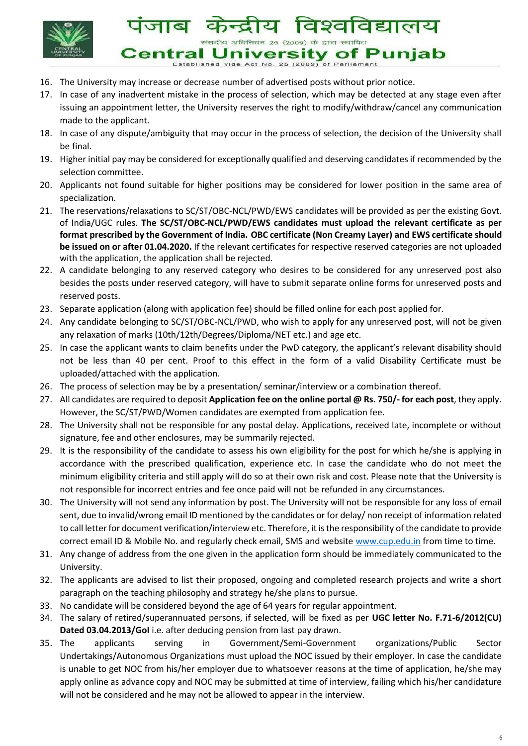

विश्वविद्यालय पजाब मेरा संसदीय अधिनियम 25 (2009) के द्वारा स्थापित **Central University of Punjab** 

Established vide Act No. 25 (2009) of Parliamen

- 16. The University may increase or decrease number of advertised posts without prior notice.
- 17. In case of any inadvertent mistake in the process of selection, which may be detected at any stage even after issuing an appointment letter, the University reserves the right to modify/withdraw/cancel any communication made to the applicant.
- 18. In case of any dispute/ambiguity that may occur in the process of selection, the decision of the University shall be final.
- 19. Higher initial pay may be considered for exceptionally qualified and deserving candidates if recommended by the selection committee.
- 20. Applicants not found suitable for higher positions may be considered for lower position in the same area of specialization.
- 21. The reservations/relaxations to SC/ST/OBC-NCL/PWD/EWS candidates will be provided as per the existing Govt. of India/UGC rules. **The SC/ST/OBC-NCL/PWD/EWS candidates must upload the relevant certificate as per format prescribed by the Government of India. OBC certificate (Non Creamy Layer) and EWS certificate should be issued on or after 01.04.2020.** If the relevant certificates for respective reserved categories are not uploaded with the application, the application shall be rejected.
- 22. A candidate belonging to any reserved category who desires to be considered for any unreserved post also besides the posts under reserved category, will have to submit separate online forms for unreserved posts and reserved posts.
- 23. Separate application (along with application fee) should be filled online for each post applied for.
- 24. Any candidate belonging to SC/ST/OBC-NCL/PWD, who wish to apply for any unreserved post, will not be given any relaxation of marks (10th/12th/Degrees/Diploma/NET etc.) and age etc.
- 25. In case the applicant wants to claim benefits under the PwD category, the applicant's relevant disability should not be less than 40 per cent. Proof to this effect in the form of a valid Disability Certificate must be uploaded/attached with the application.
- 26. The process of selection may be by a presentation/ seminar/interview or a combination thereof.
- 27. All candidates are required to deposit **Application fee on the online portal @ Rs. 750/- for each post**, they apply. However, the SC/ST/PWD/Women candidates are exempted from application fee.
- 28. The University shall not be responsible for any postal delay. Applications, received late, incomplete or without signature, fee and other enclosures, may be summarily rejected.
- 29. It is the responsibility of the candidate to assess his own eligibility for the post for which he/she is applying in accordance with the prescribed qualification, experience etc. In case the candidate who do not meet the minimum eligibility criteria and still apply will do so at their own risk and cost. Please note that the University is not responsible for incorrect entries and fee once paid will not be refunded in any circumstances.
- 30. The University will not send any information by post. The University will not be responsible for any loss of email sent, due to invalid/wrong email ID mentioned by the candidates or for delay/ non receipt of information related to call letter for document verification/interview etc. Therefore, it is the responsibility of the candidate to provide correct email ID & Mobile No. and regularly check email, SMS and websit[e](http://www.cup.edu.in/) [www.cup.edu.in](http://www.cup.edu.in/) from time to time.
- 31. Any change of address from the one given in the application form should be immediately communicated to the University.
- 32. The applicants are advised to list their proposed, ongoing and completed research projects and write a short paragraph on the teaching philosophy and strategy he/she plans to pursue.
- 33. No candidate will be considered beyond the age of 64 years for regular appointment.
- 34. The salary of retired/superannuated persons, if selected, will be fixed as per **UGC letter No. F.71-6/2012(CU) Dated 03.04.2013/GoI** i.e. after deducing pension from last pay drawn.
- 35. The applicants serving in Government/Semi-Government organizations/Public Sector Undertakings/Autonomous Organizations must upload the NOC issued by their employer. In case the candidate is unable to get NOC from his/her employer due to whatsoever reasons at the time of application, he/she may apply online as advance copy and NOC may be submitted at time of interview, failing which his/her candidature will not be considered and he may not be allowed to appear in the interview.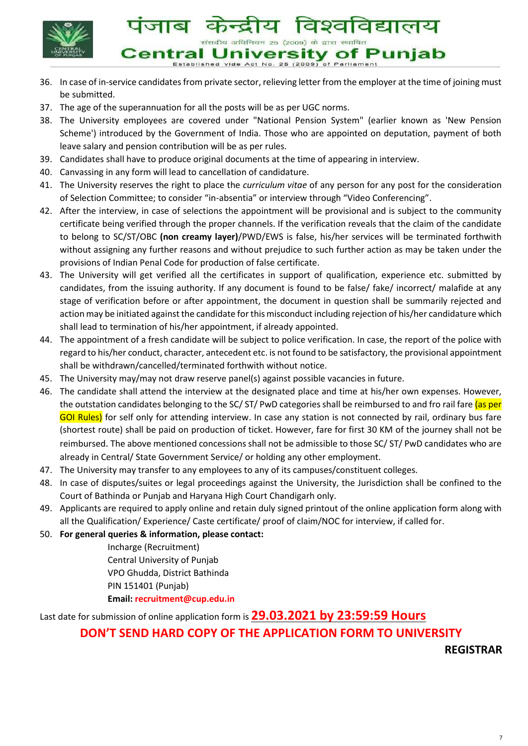

Established vide Act No. 25 (2009) of Parliament

- 36. In case of in-service candidates from private sector, relieving letter from the employer at the time of joining must be submitted.
- 37. The age of the superannuation for all the posts will be as per UGC norms.
- 38. The University employees are covered under "National Pension System" (earlier known as 'New Pension Scheme') introduced by the Government of India. Those who are appointed on deputation, payment of both leave salary and pension contribution will be as per rules.
- 39. Candidates shall have to produce original documents at the time of appearing in interview.
- 40. Canvassing in any form will lead to cancellation of candidature.
- 41. The University reserves the right to place the *curriculum vitae* of any person for any post for the consideration of Selection Committee; to consider "in-absentia" or interview through "Video Conferencing".
- 42. After the interview, in case of selections the appointment will be provisional and is subject to the community certificate being verified through the proper channels. If the verification reveals that the claim of the candidate to belong to SC/ST/OBC **(non creamy layer)**/PWD/EWS is false, his/her services will be terminated forthwith without assigning any further reasons and without prejudice to such further action as may be taken under the provisions of Indian Penal Code for production of false certificate.
- 43. The University will get verified all the certificates in support of qualification, experience etc. submitted by candidates, from the issuing authority. If any document is found to be false/ fake/ incorrect/ malafide at any stage of verification before or after appointment, the document in question shall be summarily rejected and action may be initiated against the candidate for this misconduct including rejection of his/her candidature which shall lead to termination of his/her appointment, if already appointed.
- 44. The appointment of a fresh candidate will be subject to police verification. In case, the report of the police with regard to his/her conduct, character, antecedent etc. is not found to be satisfactory, the provisional appointment shall be withdrawn/cancelled/terminated forthwith without notice.
- 45. The University may/may not draw reserve panel(s) against possible vacancies in future.
- 46. The candidate shall attend the interview at the designated place and time at his/her own expenses. However, the outstation candidates belonging to the SC/ ST/ PwD categories shall be reimbursed to and fro rail fare (as per GOI Rules) for self only for attending interview. In case any station is not connected by rail, ordinary bus fare (shortest route) shall be paid on production of ticket. However, fare for first 30 KM of the journey shall not be reimbursed. The above mentioned concessions shall not be admissible to those SC/ ST/ PwD candidates who are already in Central/ State Government Service/ or holding any other employment.
- 47. The University may transfer to any employees to any of its campuses/constituent colleges.
- 48. In case of disputes/suites or legal proceedings against the University, the Jurisdiction shall be confined to the Court of Bathinda or Punjab and Haryana High Court Chandigarh only.
- 49. Applicants are required to apply online and retain duly signed printout of the online application form along with all the Qualification/ Experience/ Caste certificate/ proof of claim/NOC for interview, if called for.
- 50. **For general queries & information, please contact:**

Incharge (Recruitment) Central University of Punjab VPO Ghudda, District Bathinda PIN 151401 (Punjab) **Email: recruitment@cup.edu.in**

Last date for submission of online application form is **29.03.2021 by 23:59:59 Hours**

## **DON'T SEND HARD COPY OF THE APPLICATION FORM TO UNIVERSITY**

**REGISTRAR**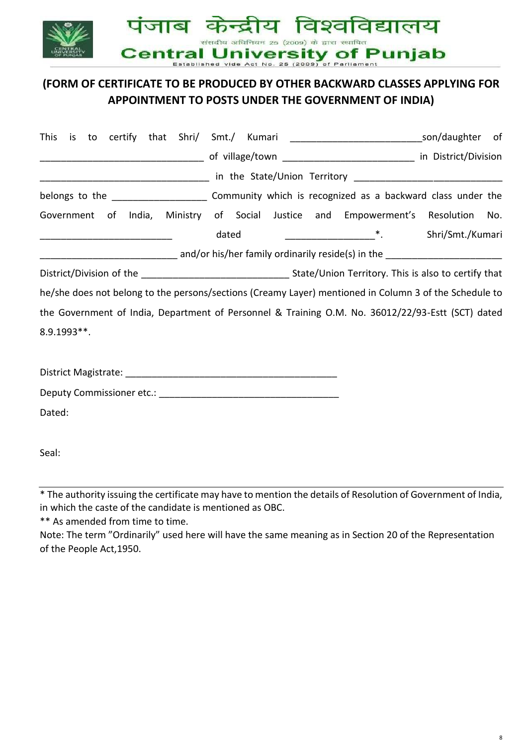

# **(FORM OF CERTIFICATE TO BE PRODUCED BY OTHER BACKWARD CLASSES APPLYING FOR APPOINTMENT TO POSTS UNDER THE GOVERNMENT OF INDIA)**

| This        |  |       |  | is to certify that Shri/ Smt./ Kumari __________________________________son/daughter of                |                  |  |
|-------------|--|-------|--|--------------------------------------------------------------------------------------------------------|------------------|--|
|             |  |       |  |                                                                                                        |                  |  |
|             |  |       |  |                                                                                                        |                  |  |
|             |  |       |  |                                                                                                        |                  |  |
|             |  |       |  | Government of India, Ministry of Social Justice and Empowerment's Resolution No.                       |                  |  |
|             |  | dated |  |                                                                                                        | Shri/Smt./Kumari |  |
|             |  |       |  |                                                                                                        |                  |  |
|             |  |       |  |                                                                                                        |                  |  |
|             |  |       |  | he/she does not belong to the persons/sections (Creamy Layer) mentioned in Column 3 of the Schedule to |                  |  |
|             |  |       |  | the Government of India, Department of Personnel & Training O.M. No. 36012/22/93-Estt (SCT) dated      |                  |  |
| 8.9.1993**. |  |       |  |                                                                                                        |                  |  |
|             |  |       |  |                                                                                                        |                  |  |
|             |  |       |  |                                                                                                        |                  |  |
|             |  |       |  |                                                                                                        |                  |  |
| Dated:      |  |       |  |                                                                                                        |                  |  |
|             |  |       |  |                                                                                                        |                  |  |
| Seal:       |  |       |  |                                                                                                        |                  |  |

\* The authority issuing the certificate may have to mention the details of Resolution of Government of India, in which the caste of the candidate is mentioned as OBC.

\*\* As amended from time to time.

Note: The term "Ordinarily" used here will have the same meaning as in Section 20 of the Representation of the People Act,1950.